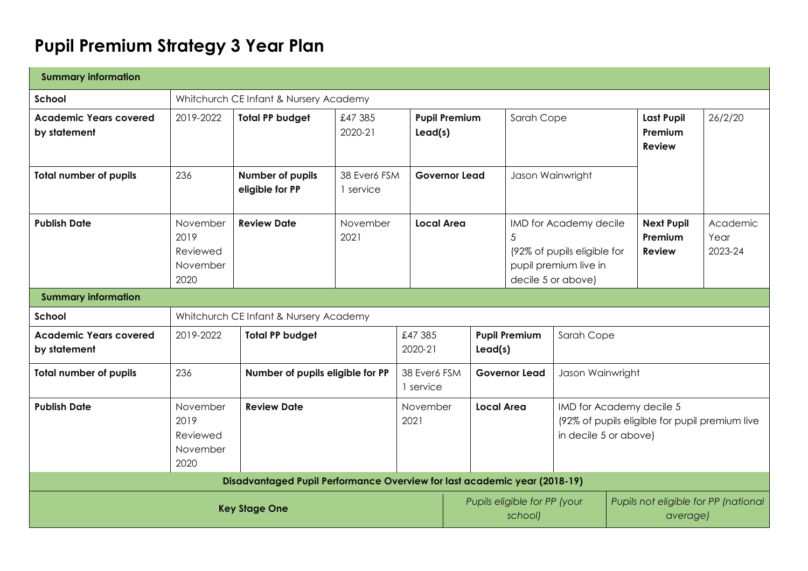# **Pupil Premium Strategy 3 Year Plan**

| <b>Summary information</b>                    |                                                  |                                                                                       |                           |                    |                                 |                                                                        |                                         |                                                                                                      |  |                                                  |                             |
|-----------------------------------------------|--------------------------------------------------|---------------------------------------------------------------------------------------|---------------------------|--------------------|---------------------------------|------------------------------------------------------------------------|-----------------------------------------|------------------------------------------------------------------------------------------------------|--|--------------------------------------------------|-----------------------------|
| School                                        |                                                  | Whitchurch CE Infant & Nursery Academy                                                |                           |                    |                                 |                                                                        |                                         |                                                                                                      |  |                                                  |                             |
| <b>Academic Years covered</b><br>by statement | 2019-2022                                        | <b>Total PP budget</b>                                                                | £47 385<br>2020-21        |                    | <b>Pupil Premium</b><br>lead(s) |                                                                        | Sarah Cope                              |                                                                                                      |  | <b>Last Pupil</b><br>Premium<br><b>Review</b>    | 26/2/20                     |
| <b>Total number of pupils</b>                 | 236                                              | Number of pupils<br>eligible for PP                                                   | 38 Ever6 FSM<br>1 service |                    | <b>Governor Lead</b>            |                                                                        | Jason Wainwright                        |                                                                                                      |  |                                                  |                             |
| <b>Publish Date</b>                           | November<br>2019<br>Reviewed<br>November<br>2020 | <b>Review Date</b>                                                                    | November<br>2021          | <b>Local Area</b>  |                                 |                                                                        | 5                                       | IMD for Academy decile<br>(92% of pupils eligible for<br>pupil premium live in<br>decile 5 or above) |  | <b>Next Pupil</b><br>Premium<br><b>Review</b>    | Academic<br>Year<br>2023-24 |
| <b>Summary information</b>                    |                                                  |                                                                                       |                           |                    |                                 |                                                                        |                                         |                                                                                                      |  |                                                  |                             |
| School                                        |                                                  | Whitchurch CE Infant & Nursery Academy                                                |                           |                    |                                 |                                                                        |                                         |                                                                                                      |  |                                                  |                             |
| <b>Academic Years covered</b><br>by statement | 2019-2022                                        | <b>Total PP budget</b>                                                                |                           | £47 385<br>2020-21 |                                 | Lead(s)                                                                | <b>Pupil Premium</b>                    | Sarah Cope                                                                                           |  |                                                  |                             |
| <b>Total number of pupils</b>                 | 236                                              | 38 Ever6 FSM<br>Number of pupils eligible for PP<br><b>Governor Lead</b><br>1 service |                           |                    |                                 | Jason Wainwright                                                       |                                         |                                                                                                      |  |                                                  |                             |
| <b>Publish Date</b>                           | November<br>2019<br>Reviewed<br>November<br>2020 | <b>Review Date</b>                                                                    |                           | November<br>2021   |                                 | <b>Local Area</b><br>IMD for Academy decile 5<br>in decile 5 or above) |                                         | (92% of pupils eligible for pupil premium live                                                       |  |                                                  |                             |
|                                               |                                                  | Disadvantaged Pupil Performance Overview for last academic year (2018-19)             |                           |                    |                                 |                                                                        |                                         |                                                                                                      |  |                                                  |                             |
|                                               |                                                  | <b>Key Stage One</b>                                                                  |                           |                    |                                 |                                                                        | Pupils eligible for PP (your<br>school) |                                                                                                      |  | Pupils not eligible for PP (national<br>average) |                             |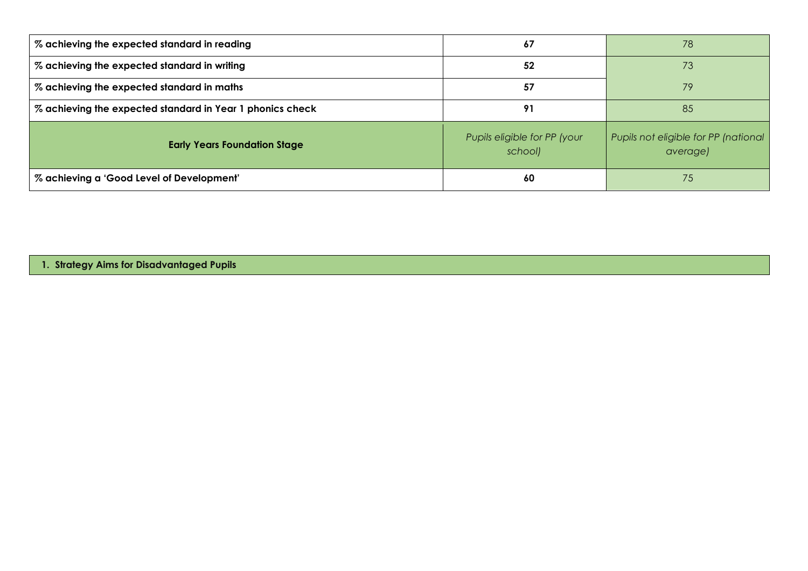| % achieving the expected standard in reading              | 67                                      | 78                                               |
|-----------------------------------------------------------|-----------------------------------------|--------------------------------------------------|
| % achieving the expected standard in writing              | 52                                      | 73                                               |
| % achieving the expected standard in maths                | 57                                      | 79                                               |
| % achieving the expected standard in Year 1 phonics check | 91                                      | 85                                               |
| <b>Early Years Foundation Stage</b>                       | Pupils eligible for PP (your<br>school) | Pupils not eligible for PP (national<br>average) |
| % achieving a 'Good Level of Development'                 | 60                                      | 75                                               |

**1. Strategy Aims for Disadvantaged Pupils**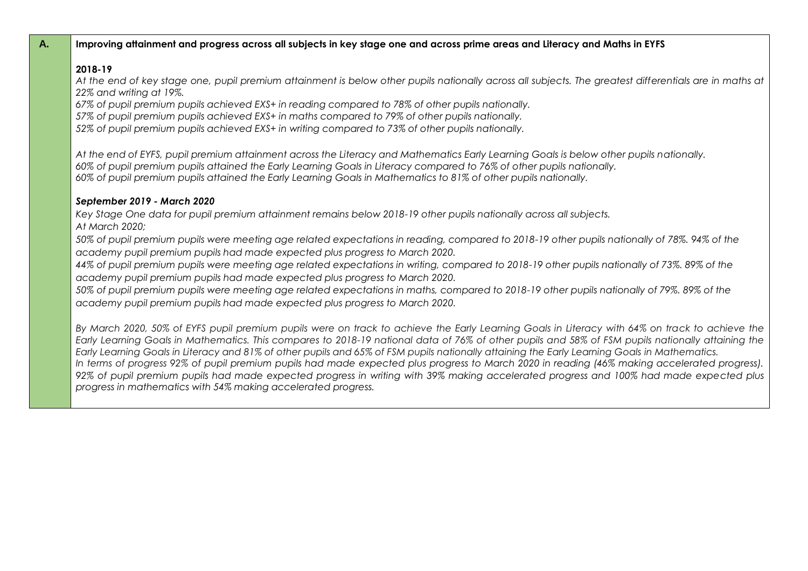## **A. Improving attainment and progress across all subjects in key stage one and across prime areas and Literacy and Maths in EYFS**

# **2018-19**

*At the end of key stage one, pupil premium attainment is below other pupils nationally across all subjects. The greatest differentials are in maths at 22% and writing at 19%.*

*67% of pupil premium pupils achieved EXS+ in reading compared to 78% of other pupils nationally.* 

*57% of pupil premium pupils achieved EXS+ in maths compared to 79% of other pupils nationally.*

*52% of pupil premium pupils achieved EXS+ in writing compared to 73% of other pupils nationally.* 

*At the end of EYFS, pupil premium attainment across the Literacy and Mathematics Early Learning Goals is below other pupils nationally. 60% of pupil premium pupils attained the Early Learning Goals in Literacy compared to 76% of other pupils nationally. 60% of pupil premium pupils attained the Early Learning Goals in Mathematics to 81% of other pupils nationally.*

# *September 2019 - March 2020*

*Key Stage One data for pupil premium attainment remains below 2018-19 other pupils nationally across all subjects. At March 2020;*

*50% of pupil premium pupils were meeting age related expectations in reading, compared to 2018-19 other pupils nationally of 78%. 94% of the academy pupil premium pupils had made expected plus progress to March 2020.*

*44% of pupil premium pupils were meeting age related expectations in writing, compared to 2018-19 other pupils nationally of 73%. 89% of the academy pupil premium pupils had made expected plus progress to March 2020.*

*50% of pupil premium pupils were meeting age related expectations in maths, compared to 2018-19 other pupils nationally of 79%. 89% of the academy pupil premium pupils had made expected plus progress to March 2020.*

*By March 2020, 50% of EYFS pupil premium pupils were on track to achieve the Early Learning Goals in Literacy with 64% on track to achieve the Early Learning Goals in Mathematics. This compares to 2018-19 national data of 76% of other pupils and 58% of FSM pupils nationally attaining the Early Learning Goals in Literacy and 81% of other pupils and 65% of FSM pupils nationally attaining the Early Learning Goals in Mathematics. In terms of progress 92% of pupil premium pupils had made expected plus progress to March 2020 in reading (46% making accelerated progress). 92% of pupil premium pupils had made expected progress in writing with 39% making accelerated progress and 100% had made expected plus progress in mathematics with 54% making accelerated progress.*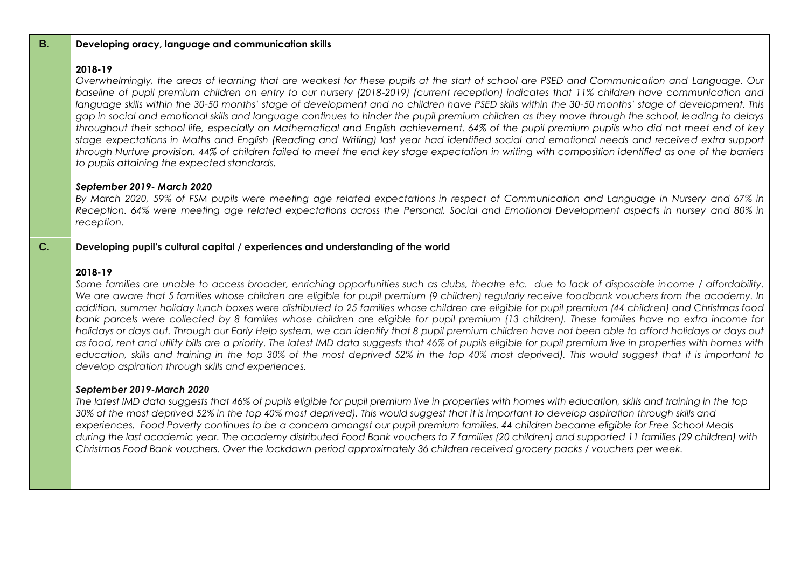| <b>B.</b> | Developing oracy, language and communication skills                                                                                                                                                                                                                                                                                                                                                                                                                                                                                                                                                                                                                                                                                                                                                                                                                                                                                                                                                                                                                                                                                                          |
|-----------|--------------------------------------------------------------------------------------------------------------------------------------------------------------------------------------------------------------------------------------------------------------------------------------------------------------------------------------------------------------------------------------------------------------------------------------------------------------------------------------------------------------------------------------------------------------------------------------------------------------------------------------------------------------------------------------------------------------------------------------------------------------------------------------------------------------------------------------------------------------------------------------------------------------------------------------------------------------------------------------------------------------------------------------------------------------------------------------------------------------------------------------------------------------|
|           | 2018-19<br>Overwhelmingly, the areas of learning that are weakest for these pupils at the start of school are PSED and Communication and Language. Our<br>baseline of pupil premium children on entry to our nursery (2018-2019) (current reception) indicates that 11% children have communication and<br>language skills within the 30-50 months' stage of development and no children have PSED skills within the 30-50 months' stage of development. This<br>gap in social and emotional skills and language continues to hinder the pupil premium children as they move through the school, leading to delays<br>throughout their school life, especially on Mathematical and English achievement. 64% of the pupil premium pupils who did not meet end of key<br>stage expectations in Maths and English (Reading and Writing) last year had identified social and emotional needs and received extra support<br>through Nurture provision. 44% of children failed to meet the end key stage expectation in writing with composition identified as one of the barriers<br>to pupils attaining the expected standards.                                  |
|           | September 2019- March 2020<br>By March 2020, 59% of FSM pupils were meeting age related expectations in respect of Communication and Language in Nursery and 67% in<br>Reception. 64% were meeting age related expectations across the Personal, Social and Emotional Development aspects in nursey and 80% in<br>reception.                                                                                                                                                                                                                                                                                                                                                                                                                                                                                                                                                                                                                                                                                                                                                                                                                                 |
| C.        | Developing pupil's cultural capital / experiences and understanding of the world                                                                                                                                                                                                                                                                                                                                                                                                                                                                                                                                                                                                                                                                                                                                                                                                                                                                                                                                                                                                                                                                             |
|           | 2018-19<br>Some families are unable to access broader, enriching opportunities such as clubs, theatre etc. due to lack of disposable income / affordability.<br>We are aware that 5 families whose children are eligible for pupil premium (9 children) regularly receive foodbank vouchers from the academy. In<br>addition, summer holiday lunch boxes were distributed to 25 families whose children are eligible for pupil premium (44 children) and Christmas food<br>bank parcels were collected by 8 families whose children are eligible for pupil premium (13 children). These families have no extra income for<br>holidays or days out. Through our Early Help system, we can identify that 8 pupil premium children have not been able to afford holidays or days out<br>as food, rent and utility bills are a priority. The latest IMD data suggests that 46% of pupils eligible for pupil premium live in properties with homes with<br>education, skills and training in the top 30% of the most deprived 52% in the top 40% most deprived). This would suggest that it is important to<br>develop aspiration through skills and experiences. |
|           | September 2019-March 2020<br>The latest IMD data suggests that 46% of pupils eligible for pupil premium live in properties with homes with education, skills and training in the top<br>30% of the most deprived 52% in the top 40% most deprived). This would suggest that it is important to develop aspiration through skills and<br>experiences. Food Poverty continues to be a concern amongst our pupil premium families. 44 children became eligible for Free School Meals<br>during the last academic year. The academy distributed Food Bank vouchers to 7 families (20 children) and supported 11 families (29 children) with                                                                                                                                                                                                                                                                                                                                                                                                                                                                                                                      |

*Christmas Food Bank vouchers. Over the lockdown period approximately 36 children received grocery packs / vouchers per week.*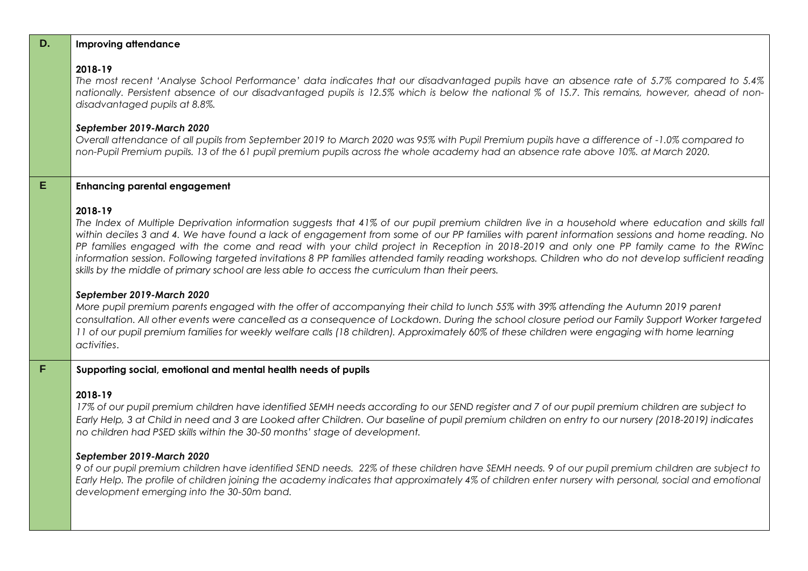|   | <b>Example village and village</b>                                                                                                                                                                                                                                                                                               |
|---|----------------------------------------------------------------------------------------------------------------------------------------------------------------------------------------------------------------------------------------------------------------------------------------------------------------------------------|
|   | 2018-19<br>The most recent 'Analyse School Performance' data indicates that our disadvantaged pupils have an absence rate of 5.7% compared to 5<br>nationally. Persistent absence of our disadvantaged pupils is 12.5% which is below the national % of 15.7. This remains, however, ahead of r<br>disadvantaged pupils at 8.8%. |
|   | September 2019-March 2020<br>Overall attendance of all pupils from September 2019 to March 2020 was 95% with Pupil Premium pupils have a difference of -1.0% compared to<br>non-Pupil Premium pupils. 13 of the 61 pupil premium pupils across the whole academy had an absence rate above 10%, at March 2020.                   |
| E | <b>Enhancing parental engagement</b>                                                                                                                                                                                                                                                                                             |
|   |                                                                                                                                                                                                                                                                                                                                  |

#### **2018-19**

The Index of Multiple Deprivation information suggests that 41% of our pupil premium children live in a household where education and skills fall *within deciles 3 and 4. We have found a lack of engagement from some of our PP families with parent information sessions and home reading. No PP families engaged with the come and read with your child project in Reception in 2018-2019 and only one PP family came to the RWinc information session. Following targeted invitations 8 PP families attended family reading workshops. Children who do not develop sufficient reading skills by the middle of primary school are less able to access the curriculum than their peers.*

#### *September 2019-March 2020*

*More pupil premium parents engaged with the offer of accompanying their child to lunch 55% with 39% attending the Autumn 2019 parent consultation. All other events were cancelled as a consequence of Lockdown. During the school closure period our Family Support Worker targeted 11 of our pupil premium families for weekly welfare calls (18 children). Approximately 60% of these children were engaging with home learning activities*.

# **F Supporting social, emotional and mental health needs of pupils**

### **2018-19**

*17% of our pupil premium children have identified SEMH needs according to our SEND register and 7 of our pupil premium children are subject to Early Help, 3 at Child in need and 3 are Looked after Children. Our baseline of pupil premium children on entry to our nursery (2018-2019) indicates no children had PSED skills within the 30-50 months' stage of development.*

### *September 2019-March 2020*

*9 of our pupil premium children have identified SEND needs. 22% of these children have SEMH needs. 9 of our pupil premium children are subject to Early Help. The profile of children joining the academy indicates that approximately 4% of children enter nursery with personal, social and emotional development emerging into the 30-50m band.*

# **D. Improving attendance**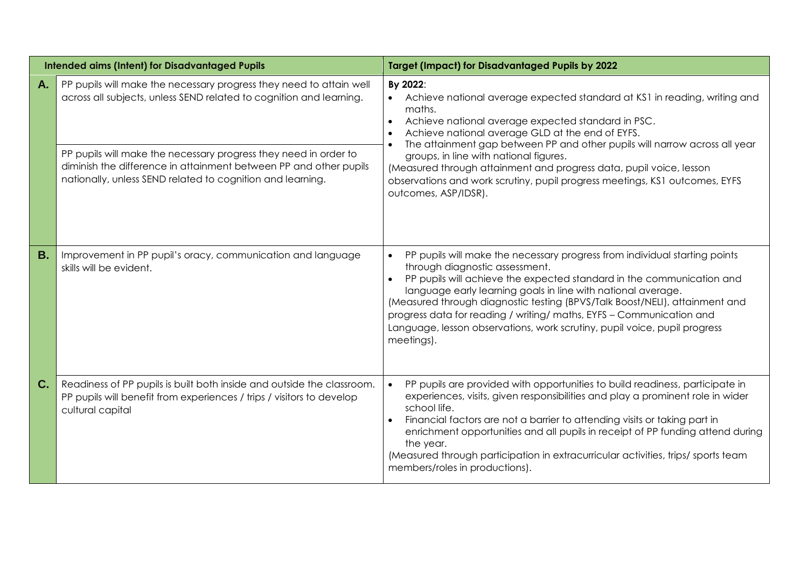|           | <b>Intended aims (Intent) for Disadvantaged Pupils</b>                                                                                                                                                                                                                                                                                            | <b>Target (Impact) for Disadvantaged Pupils by 2022</b>                                                                                                                                                                                                                                                                                                                                                                                                                                                                      |  |  |  |
|-----------|---------------------------------------------------------------------------------------------------------------------------------------------------------------------------------------------------------------------------------------------------------------------------------------------------------------------------------------------------|------------------------------------------------------------------------------------------------------------------------------------------------------------------------------------------------------------------------------------------------------------------------------------------------------------------------------------------------------------------------------------------------------------------------------------------------------------------------------------------------------------------------------|--|--|--|
| A.        | PP pupils will make the necessary progress they need to attain well<br>across all subjects, unless SEND related to cognition and learning.<br>PP pupils will make the necessary progress they need in order to<br>diminish the difference in attainment between PP and other pupils<br>nationally, unless SEND related to cognition and learning. | By 2022:<br>Achieve national average expected standard at KS1 in reading, writing and<br>maths.<br>Achieve national average expected standard in PSC.<br>$\bullet$<br>Achieve national average GLD at the end of EYFS.<br>The attainment gap between PP and other pupils will narrow across all year<br>groups, in line with national figures.<br>(Measured through attainment and progress data, pupil voice, lesson<br>observations and work scrutiny, pupil progress meetings, KS1 outcomes, EYFS<br>outcomes, ASP/IDSR). |  |  |  |
| <b>B.</b> | Improvement in PP pupil's oracy, communication and language<br>skills will be evident.                                                                                                                                                                                                                                                            | PP pupils will make the necessary progress from individual starting points<br>through diagnostic assessment.<br>PP pupils will achieve the expected standard in the communication and<br>language early learning goals in line with national average.<br>(Measured through diagnostic testing (BPVS/Talk Boost/NELI), attainment and<br>progress data for reading / writing/ maths, EYFS - Communication and<br>Language, lesson observations, work scrutiny, pupil voice, pupil progress<br>meetings).                      |  |  |  |
| C.        | Readiness of PP pupils is built both inside and outside the classroom.<br>PP pupils will benefit from experiences / trips / visitors to develop<br>cultural capital                                                                                                                                                                               | PP pupils are provided with opportunities to build readiness, participate in<br>$\bullet$<br>experiences, visits, given responsibilities and play a prominent role in wider<br>school life.<br>Financial factors are not a barrier to attending visits or taking part in<br>enrichment opportunities and all pupils in receipt of PP funding attend during<br>the year.<br>(Measured through participation in extracurricular activities, trips/ sports team<br>members/roles in productions).                               |  |  |  |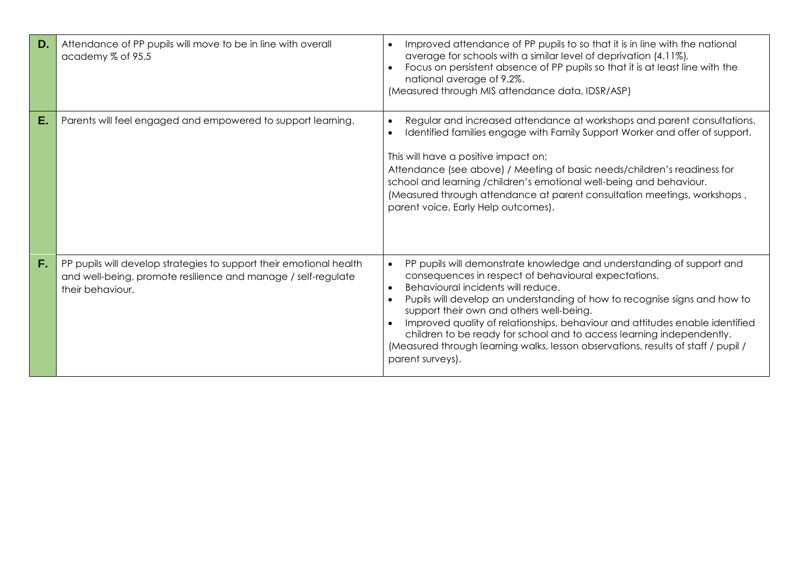| D. | Attendance of PP pupils will move to be in line with overall<br>academy % of 95.5                                                                        | Improved attendance of PP pupils to so that it is in line with the national<br>$\bullet$<br>average for schools with a similar level of deprivation (4.11%).<br>Focus on persistent absence of PP pupils so that it is at least line with the<br>national average of 9.2%.<br>(Measured through MIS attendance data, IDSR/ASP)                                                                                                                                                                                                                                              |
|----|----------------------------------------------------------------------------------------------------------------------------------------------------------|-----------------------------------------------------------------------------------------------------------------------------------------------------------------------------------------------------------------------------------------------------------------------------------------------------------------------------------------------------------------------------------------------------------------------------------------------------------------------------------------------------------------------------------------------------------------------------|
| Е. | Parents will feel engaged and empowered to support learning.                                                                                             | Regular and increased attendance at workshops and parent consultations.<br>Identified families engage with Family Support Worker and offer of support.<br>This will have a positive impact on;<br>Attendance (see above) / Meeting of basic needs/children's readiness for<br>school and learning /children's emotional well-being and behaviour.<br>(Measured through attendance at parent consultation meetings, workshops,<br>parent voice, Early Help outcomes).                                                                                                        |
| F. | PP pupils will develop strategies to support their emotional health<br>and well-being, promote resilience and manage / self-regulate<br>their behaviour. | PP pupils will demonstrate knowledge and understanding of support and<br>$\bullet$<br>consequences in respect of behavioural expectations.<br>Behavioural incidents will reduce.<br>Pupils will develop an understanding of how to recognise signs and how to<br>support their own and others well-being.<br>Improved quality of relationships, behaviour and attitudes enable identified<br>children to be ready for school and to access learning independently.<br>(Measured through learning walks, lesson observations, results of staff / pupil /<br>parent surveys). |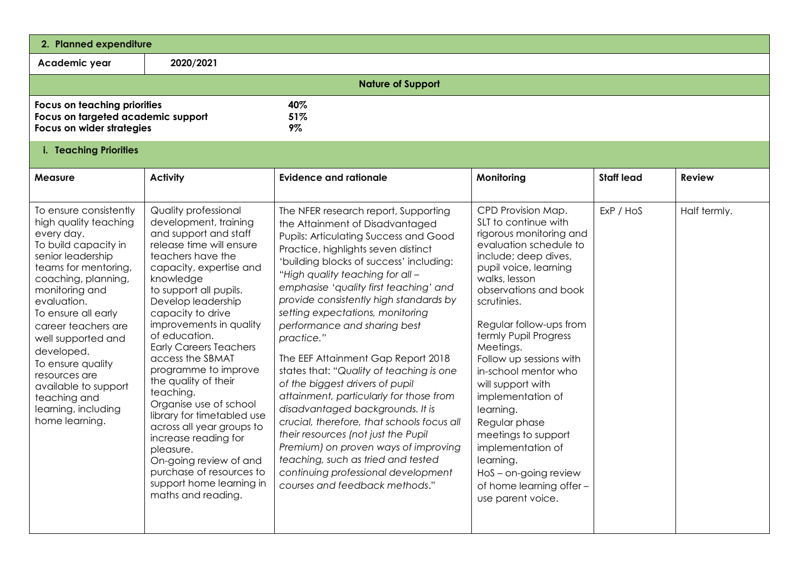| 2. Planned expenditure                                                                                                                                                                                                                                                                                                                                                                              |                                                                                                                                                                                                                                                                                                                                                                                                                                                                                                                                                                                                                                             |                                                                                                                                                                                                                                                                                                                                                                                                                                                                                                                                                                                                                                                                                                                                                                                                                                                                     |                                                                                                                                                                                                                                                                                                                                                                                                                                                                                                                                          |                   |               |  |  |
|-----------------------------------------------------------------------------------------------------------------------------------------------------------------------------------------------------------------------------------------------------------------------------------------------------------------------------------------------------------------------------------------------------|---------------------------------------------------------------------------------------------------------------------------------------------------------------------------------------------------------------------------------------------------------------------------------------------------------------------------------------------------------------------------------------------------------------------------------------------------------------------------------------------------------------------------------------------------------------------------------------------------------------------------------------------|---------------------------------------------------------------------------------------------------------------------------------------------------------------------------------------------------------------------------------------------------------------------------------------------------------------------------------------------------------------------------------------------------------------------------------------------------------------------------------------------------------------------------------------------------------------------------------------------------------------------------------------------------------------------------------------------------------------------------------------------------------------------------------------------------------------------------------------------------------------------|------------------------------------------------------------------------------------------------------------------------------------------------------------------------------------------------------------------------------------------------------------------------------------------------------------------------------------------------------------------------------------------------------------------------------------------------------------------------------------------------------------------------------------------|-------------------|---------------|--|--|
| Academic year                                                                                                                                                                                                                                                                                                                                                                                       | 2020/2021                                                                                                                                                                                                                                                                                                                                                                                                                                                                                                                                                                                                                                   |                                                                                                                                                                                                                                                                                                                                                                                                                                                                                                                                                                                                                                                                                                                                                                                                                                                                     |                                                                                                                                                                                                                                                                                                                                                                                                                                                                                                                                          |                   |               |  |  |
|                                                                                                                                                                                                                                                                                                                                                                                                     |                                                                                                                                                                                                                                                                                                                                                                                                                                                                                                                                                                                                                                             | <b>Nature of Support</b>                                                                                                                                                                                                                                                                                                                                                                                                                                                                                                                                                                                                                                                                                                                                                                                                                                            |                                                                                                                                                                                                                                                                                                                                                                                                                                                                                                                                          |                   |               |  |  |
|                                                                                                                                                                                                                                                                                                                                                                                                     | 40%<br><b>Focus on teaching priorities</b><br>51%<br>Focus on targeted academic support<br>Focus on wider strategies<br>9%                                                                                                                                                                                                                                                                                                                                                                                                                                                                                                                  |                                                                                                                                                                                                                                                                                                                                                                                                                                                                                                                                                                                                                                                                                                                                                                                                                                                                     |                                                                                                                                                                                                                                                                                                                                                                                                                                                                                                                                          |                   |               |  |  |
| i. Teaching Priorities                                                                                                                                                                                                                                                                                                                                                                              |                                                                                                                                                                                                                                                                                                                                                                                                                                                                                                                                                                                                                                             |                                                                                                                                                                                                                                                                                                                                                                                                                                                                                                                                                                                                                                                                                                                                                                                                                                                                     |                                                                                                                                                                                                                                                                                                                                                                                                                                                                                                                                          |                   |               |  |  |
| <b>Measure</b>                                                                                                                                                                                                                                                                                                                                                                                      | <b>Activity</b>                                                                                                                                                                                                                                                                                                                                                                                                                                                                                                                                                                                                                             | <b>Evidence and rationale</b>                                                                                                                                                                                                                                                                                                                                                                                                                                                                                                                                                                                                                                                                                                                                                                                                                                       | Monitoring                                                                                                                                                                                                                                                                                                                                                                                                                                                                                                                               | <b>Staff lead</b> | <b>Review</b> |  |  |
| To ensure consistently<br>high quality teaching<br>every day.<br>To build capacity in<br>senior leadership<br>teams for mentoring,<br>coaching, planning,<br>monitoring and<br>evaluation.<br>To ensure all early<br>career teachers are<br>well supported and<br>developed.<br>To ensure quality<br>resources are<br>available to support<br>teaching and<br>learning, including<br>home learning. | <b>Quality professional</b><br>development, training<br>and support and staff<br>release time will ensure<br>teachers have the<br>capacity, expertise and<br>knowledge<br>to support all pupils.<br>Develop leadership<br>capacity to drive<br>improvements in quality<br>of education.<br><b>Early Careers Teachers</b><br>access the SBMAT<br>programme to improve<br>the quality of their<br>teaching.<br>Organise use of school<br>library for timetabled use<br>across all year groups to<br>increase reading for<br>pleasure.<br>On-going review of and<br>purchase of resources to<br>support home learning in<br>maths and reading. | The NFER research report, Supporting<br>the Attainment of Disadvantaged<br><b>Pupils: Articulating Success and Good</b><br>Practice, highlights seven distinct<br>'building blocks of success' including:<br>"High quality teaching for all -<br>emphasise 'quality first teaching' and<br>provide consistently high standards by<br>setting expectations, monitoring<br>performance and sharing best<br>practice."<br>The EEF Attainment Gap Report 2018<br>states that: "Quality of teaching is one<br>of the biggest drivers of pupil<br>attainment, particularly for those from<br>disadvantaged backgrounds. It is<br>crucial, therefore, that schools focus all<br>their resources (not just the Pupil<br>Premium) on proven ways of improving<br>teaching, such as tried and tested<br>continuing professional development<br>courses and feedback methods." | CPD Provision Map.<br>SLT to continue with<br>rigorous monitoring and<br>evaluation schedule to<br>include; deep dives,<br>pupil voice, learning<br>walks, lesson<br>observations and book<br>scrutinies.<br>Regular follow-ups from<br>termly Pupil Progress<br>Meetings.<br>Follow up sessions with<br>in-school mentor who<br>will support with<br>implementation of<br>learning.<br>Regular phase<br>meetings to support<br>implementation of<br>learning.<br>HoS - on-going review<br>of home learning offer -<br>use parent voice. | ExP / HoS         | Half termly.  |  |  |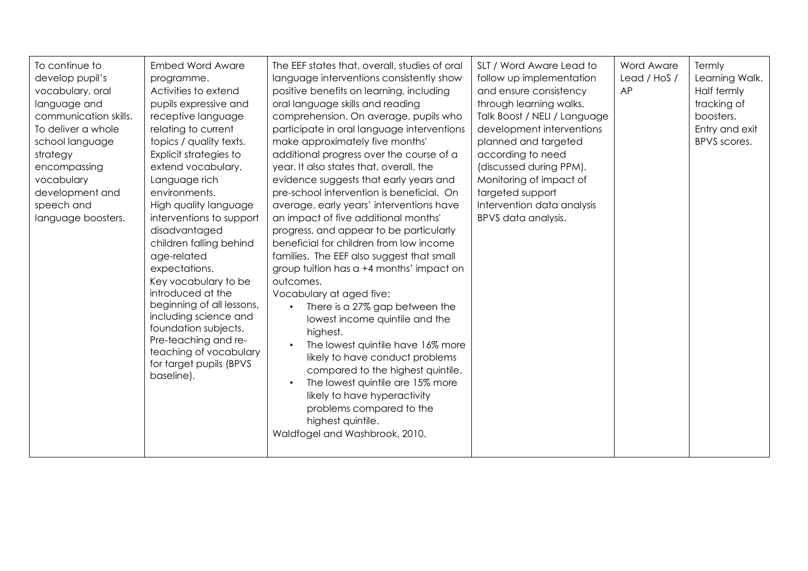| To continue to<br>develop pupil's<br>vocabulary, oral<br>language and<br>communication skills.<br>To deliver a whole<br>school language<br>strategy<br>encompassing<br>vocabulary<br>development and<br>speech and<br>language boosters. | <b>Embed Word Aware</b><br>programme.<br>Activities to extend<br>pupils expressive and<br>receptive language<br>relating to current<br>topics / quality texts.<br>Explicit strategies to<br>extend vocabulary.<br>Language rich<br>environments.<br>High quality language<br>interventions to support<br>disadvantaged<br>children falling behind<br>age-related<br>expectations.<br>Key vocabulary to be<br>introduced at the<br>beginning of all lessons,<br>including science and<br>foundation subjects.<br>Pre-teaching and re-<br>teaching of vocabulary<br>for target pupils (BPVS<br>baseline). | The EEF states that, overall, studies of oral<br>language interventions consistently show<br>positive benefits on learning, including<br>oral language skills and reading<br>comprehension. On average, pupils who<br>participate in oral language interventions<br>make approximately five months'<br>additional progress over the course of a<br>year. It also states that, overall, the<br>evidence suggests that early years and<br>pre-school intervention is beneficial. On<br>average, early years' interventions have<br>an impact of five additional months'<br>progress, and appear to be particularly<br>beneficial for children from low income<br>families. The EEF also suggest that small<br>group tuition has a +4 months' impact on<br>outcomes.<br>Vocabulary at aged five:<br>There is a 27% gap between the<br>lowest income quintile and the<br>highest.<br>The lowest quintile have 16% more<br>likely to have conduct problems<br>compared to the highest quintile.<br>The lowest quintile are 15% more<br>$\bullet$<br>likely to have hyperactivity<br>problems compared to the<br>highest quintile.<br>Waldfogel and Washbrook, 2010. | SLT / Word Aware Lead to<br>follow up implementation<br>and ensure consistency<br>through learning walks.<br>Talk Boost / NELI / Language<br>development interventions<br>planned and targeted<br>according to need<br>(discussed during PPM).<br>Monitoring of impact of<br>targeted support<br>Intervention data analysis<br>BPVS data analysis. | Word Aware<br>Lead / HoS /<br>AP | Termly<br>Learning Walk.<br>Half termly<br>tracking of<br>boosters.<br>Entry and exit<br>BPVS scores. |
|------------------------------------------------------------------------------------------------------------------------------------------------------------------------------------------------------------------------------------------|---------------------------------------------------------------------------------------------------------------------------------------------------------------------------------------------------------------------------------------------------------------------------------------------------------------------------------------------------------------------------------------------------------------------------------------------------------------------------------------------------------------------------------------------------------------------------------------------------------|----------------------------------------------------------------------------------------------------------------------------------------------------------------------------------------------------------------------------------------------------------------------------------------------------------------------------------------------------------------------------------------------------------------------------------------------------------------------------------------------------------------------------------------------------------------------------------------------------------------------------------------------------------------------------------------------------------------------------------------------------------------------------------------------------------------------------------------------------------------------------------------------------------------------------------------------------------------------------------------------------------------------------------------------------------------------------------------------------------------------------------------------------------------|----------------------------------------------------------------------------------------------------------------------------------------------------------------------------------------------------------------------------------------------------------------------------------------------------------------------------------------------------|----------------------------------|-------------------------------------------------------------------------------------------------------|
|------------------------------------------------------------------------------------------------------------------------------------------------------------------------------------------------------------------------------------------|---------------------------------------------------------------------------------------------------------------------------------------------------------------------------------------------------------------------------------------------------------------------------------------------------------------------------------------------------------------------------------------------------------------------------------------------------------------------------------------------------------------------------------------------------------------------------------------------------------|----------------------------------------------------------------------------------------------------------------------------------------------------------------------------------------------------------------------------------------------------------------------------------------------------------------------------------------------------------------------------------------------------------------------------------------------------------------------------------------------------------------------------------------------------------------------------------------------------------------------------------------------------------------------------------------------------------------------------------------------------------------------------------------------------------------------------------------------------------------------------------------------------------------------------------------------------------------------------------------------------------------------------------------------------------------------------------------------------------------------------------------------------------------|----------------------------------------------------------------------------------------------------------------------------------------------------------------------------------------------------------------------------------------------------------------------------------------------------------------------------------------------------|----------------------------------|-------------------------------------------------------------------------------------------------------|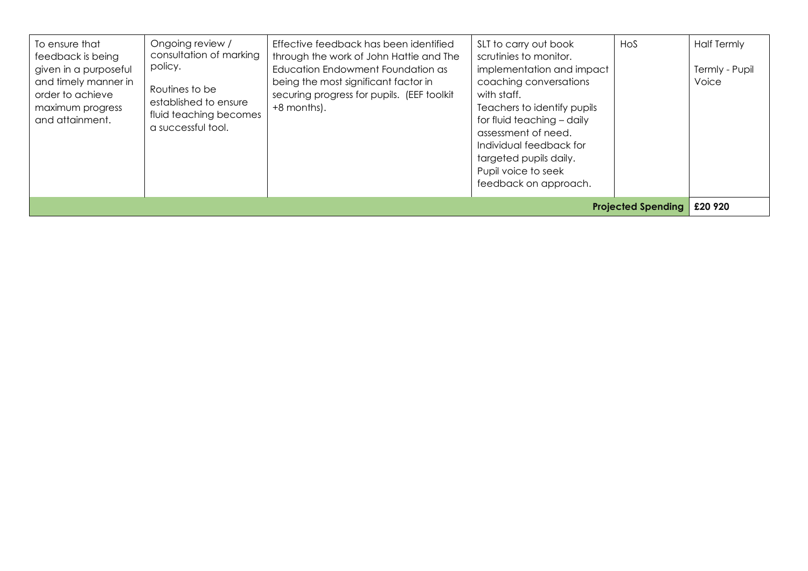|  | To ensure that<br>feedback is being<br>given in a purposeful<br>and timely manner in<br>order to achieve<br>maximum progress<br>and attainment. | Ongoing review /<br>consultation of marking<br>policy.<br>Routines to be<br>established to ensure<br>fluid teaching becomes<br>a successful tool. | Effective feedback has been identified<br>through the work of John Hattie and The<br>Education Endowment Foundation as<br>being the most significant factor in<br>securing progress for pupils. (EEF toolkit<br>+8 months). | SLT to carry out book<br>scrutinies to monitor.<br>implementation and impact<br>coaching conversations<br>with staff.<br>Teachers to identify pupils<br>for fluid teaching - daily<br>assessment of need.<br>Individual feedback for<br>targeted pupils daily.<br>Pupil voice to seek<br>feedback on approach. | Hos | <b>Half Termly</b><br>Termly - Pupil<br>Voice |
|--|-------------------------------------------------------------------------------------------------------------------------------------------------|---------------------------------------------------------------------------------------------------------------------------------------------------|-----------------------------------------------------------------------------------------------------------------------------------------------------------------------------------------------------------------------------|----------------------------------------------------------------------------------------------------------------------------------------------------------------------------------------------------------------------------------------------------------------------------------------------------------------|-----|-----------------------------------------------|
|--|-------------------------------------------------------------------------------------------------------------------------------------------------|---------------------------------------------------------------------------------------------------------------------------------------------------|-----------------------------------------------------------------------------------------------------------------------------------------------------------------------------------------------------------------------------|----------------------------------------------------------------------------------------------------------------------------------------------------------------------------------------------------------------------------------------------------------------------------------------------------------------|-----|-----------------------------------------------|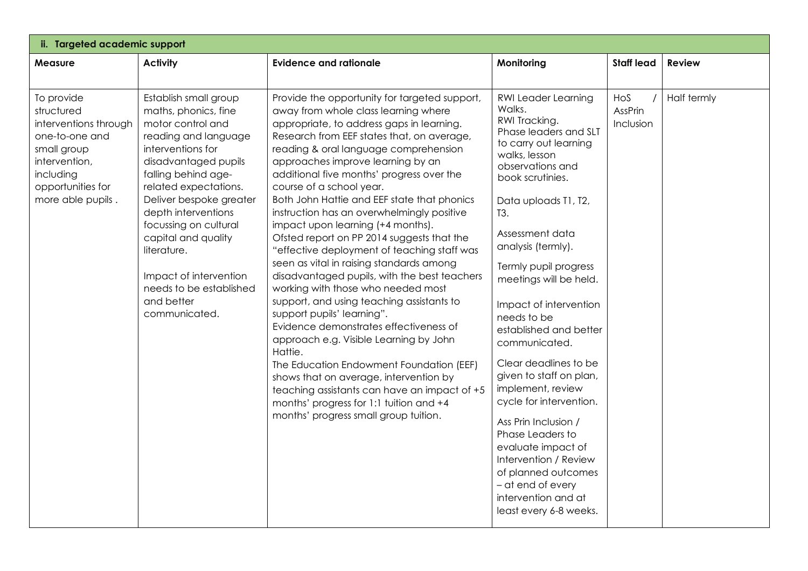| ii. Targeted academic support                                                                                                                              |                                                                                                                                                                                                                                                                                                                                                                                              |                                                                                                                                                                                                                                                                                                                                                                                                                                                                                                                                                                                                                                                                                                                                                                                                                                                                                                                                                                                                                                                                                                              |                                                                                                                                                                                                                                                                                                                                                                                                                                                                                                                                                                                                                                                                             |                             |               |  |  |  |
|------------------------------------------------------------------------------------------------------------------------------------------------------------|----------------------------------------------------------------------------------------------------------------------------------------------------------------------------------------------------------------------------------------------------------------------------------------------------------------------------------------------------------------------------------------------|--------------------------------------------------------------------------------------------------------------------------------------------------------------------------------------------------------------------------------------------------------------------------------------------------------------------------------------------------------------------------------------------------------------------------------------------------------------------------------------------------------------------------------------------------------------------------------------------------------------------------------------------------------------------------------------------------------------------------------------------------------------------------------------------------------------------------------------------------------------------------------------------------------------------------------------------------------------------------------------------------------------------------------------------------------------------------------------------------------------|-----------------------------------------------------------------------------------------------------------------------------------------------------------------------------------------------------------------------------------------------------------------------------------------------------------------------------------------------------------------------------------------------------------------------------------------------------------------------------------------------------------------------------------------------------------------------------------------------------------------------------------------------------------------------------|-----------------------------|---------------|--|--|--|
| <b>Measure</b>                                                                                                                                             | <b>Activity</b>                                                                                                                                                                                                                                                                                                                                                                              | <b>Evidence and rationale</b>                                                                                                                                                                                                                                                                                                                                                                                                                                                                                                                                                                                                                                                                                                                                                                                                                                                                                                                                                                                                                                                                                | Monitoring                                                                                                                                                                                                                                                                                                                                                                                                                                                                                                                                                                                                                                                                  | <b>Staff lead</b>           | <b>Review</b> |  |  |  |
| To provide<br>structured<br>interventions through<br>one-to-one and<br>small group<br>intervention,<br>including<br>opportunities for<br>more able pupils. | Establish small group<br>maths, phonics, fine<br>motor control and<br>reading and language<br>interventions for<br>disadvantaged pupils<br>falling behind age-<br>related expectations.<br>Deliver bespoke greater<br>depth interventions<br>focussing on cultural<br>capital and quality<br>literature.<br>Impact of intervention<br>needs to be established<br>and better<br>communicated. | Provide the opportunity for targeted support,<br>away from whole class learning where<br>appropriate, to address gaps in learning.<br>Research from EEF states that, on average,<br>reading & oral language comprehension<br>approaches improve learning by an<br>additional five months' progress over the<br>course of a school year.<br>Both John Hattie and EEF state that phonics<br>instruction has an overwhelmingly positive<br>impact upon learning (+4 months).<br>Ofsted report on PP 2014 suggests that the<br>"effective deployment of teaching staff was<br>seen as vital in raising standards among<br>disadvantaged pupils, with the best teachers<br>working with those who needed most<br>support, and using teaching assistants to<br>support pupils' learning".<br>Evidence demonstrates effectiveness of<br>approach e.g. Visible Learning by John<br>Hattie.<br>The Education Endowment Foundation (EEF)<br>shows that on average, intervention by<br>teaching assistants can have an impact of +5<br>months' progress for 1:1 tuition and +4<br>months' progress small group tuition. | <b>RWI Leader Learning</b><br>Walks.<br>RWI Tracking.<br>Phase leaders and SLT<br>to carry out learning<br>walks, lesson<br>observations and<br>book scrutinies.<br>Data uploads T1, T2,<br>T3.<br>Assessment data<br>analysis (termly).<br>Termly pupil progress<br>meetings will be held.<br>Impact of intervention<br>needs to be<br>established and better<br>communicated.<br>Clear deadlines to be<br>given to staff on plan,<br>implement, review<br>cycle for intervention.<br>Ass Prin Inclusion /<br>Phase Leaders to<br>evaluate impact of<br>Intervention / Review<br>of planned outcomes<br>- at end of every<br>intervention and at<br>least every 6-8 weeks. | HoS<br>AssPrin<br>Inclusion | Half termly   |  |  |  |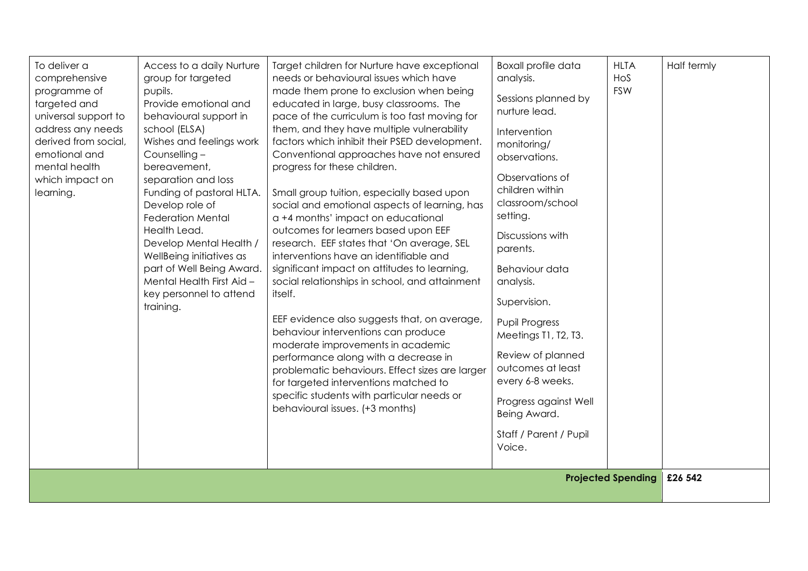| specific students with particular needs or<br>Progress against Well<br>behavioural issues. (+3 months)<br>Being Award.<br>Staff / Parent / Pupil<br>Voice.<br><b>Projected Spending</b><br>£26 542 | To deliver a<br>comprehensive<br>programme of<br>targeted and<br>universal support to<br>address any needs<br>derived from social,<br>emotional and<br>mental health<br>which impact on<br>learning. | Access to a daily Nurture<br>group for targeted<br>pupils.<br>Provide emotional and<br>behavioural support in<br>school (ELSA)<br>Wishes and feelings work<br>Counselling -<br>bereavement,<br>separation and loss<br>Funding of pastoral HLTA.<br>Develop role of<br><b>Federation Mental</b><br>Health Lead.<br>Develop Mental Health /<br>WellBeing initiatives as<br>part of Well Being Award.<br>Mental Health First Aid -<br>key personnel to attend<br>training. | Target children for Nurture have exceptional<br>needs or behavioural issues which have<br>made them prone to exclusion when being<br>educated in large, busy classrooms. The<br>pace of the curriculum is too fast moving for<br>them, and they have multiple vulnerability<br>factors which inhibit their PSED development.<br>Conventional approaches have not ensured<br>progress for these children.<br>Small group tuition, especially based upon<br>social and emotional aspects of learning, has<br>a +4 months' impact on educational<br>outcomes for learners based upon EEF<br>research. EEF states that 'On average, SEL<br>interventions have an identifiable and<br>significant impact on attitudes to learning,<br>social relationships in school, and attainment<br>itself.<br>EEF evidence also suggests that, on average,<br>behaviour interventions can produce<br>moderate improvements in academic<br>performance along with a decrease in<br>problematic behaviours. Effect sizes are larger<br>for targeted interventions matched to | <b>Boxall profile data</b><br>analysis.<br>Sessions planned by<br>nurture lead.<br>Intervention<br>monitoring/<br>observations.<br>Observations of<br>children within<br>classroom/school<br>setting.<br>Discussions with<br>parents.<br>Behaviour data<br>analysis.<br>Supervision.<br><b>Pupil Progress</b><br>Meetings T1, T2, T3.<br>Review of planned<br>outcomes at least<br>every 6-8 weeks. | <b>HLTA</b><br>Hos<br><b>FSW</b> | Half termly |
|----------------------------------------------------------------------------------------------------------------------------------------------------------------------------------------------------|------------------------------------------------------------------------------------------------------------------------------------------------------------------------------------------------------|-------------------------------------------------------------------------------------------------------------------------------------------------------------------------------------------------------------------------------------------------------------------------------------------------------------------------------------------------------------------------------------------------------------------------------------------------------------------------|------------------------------------------------------------------------------------------------------------------------------------------------------------------------------------------------------------------------------------------------------------------------------------------------------------------------------------------------------------------------------------------------------------------------------------------------------------------------------------------------------------------------------------------------------------------------------------------------------------------------------------------------------------------------------------------------------------------------------------------------------------------------------------------------------------------------------------------------------------------------------------------------------------------------------------------------------------------------------------------------------------------------------------------------------------|-----------------------------------------------------------------------------------------------------------------------------------------------------------------------------------------------------------------------------------------------------------------------------------------------------------------------------------------------------------------------------------------------------|----------------------------------|-------------|
|                                                                                                                                                                                                    |                                                                                                                                                                                                      |                                                                                                                                                                                                                                                                                                                                                                                                                                                                         |                                                                                                                                                                                                                                                                                                                                                                                                                                                                                                                                                                                                                                                                                                                                                                                                                                                                                                                                                                                                                                                            |                                                                                                                                                                                                                                                                                                                                                                                                     |                                  |             |
|                                                                                                                                                                                                    |                                                                                                                                                                                                      |                                                                                                                                                                                                                                                                                                                                                                                                                                                                         |                                                                                                                                                                                                                                                                                                                                                                                                                                                                                                                                                                                                                                                                                                                                                                                                                                                                                                                                                                                                                                                            |                                                                                                                                                                                                                                                                                                                                                                                                     |                                  |             |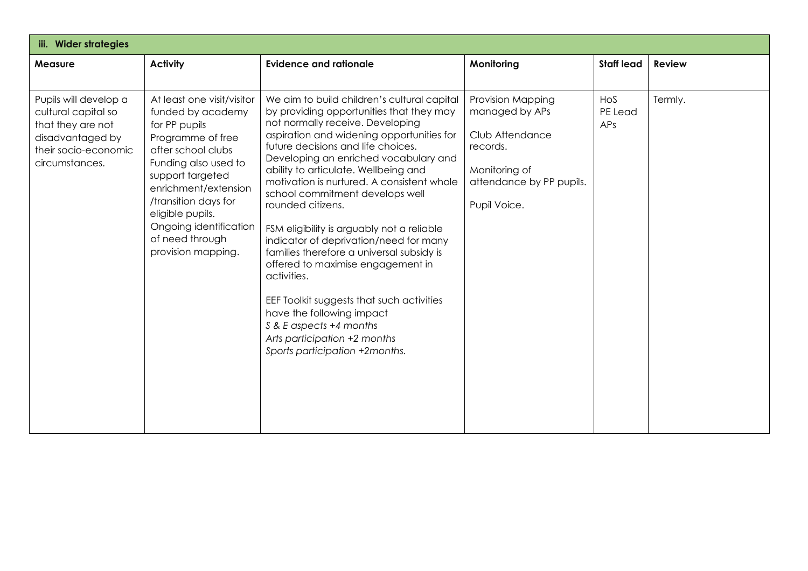| iii. Wider strategies                                                                                                           |                                                                                                                                                                                                                                                                                                |                                                                                                                                                                                                                                                                                                                                                                                                                                                                                                                                                                                                                                                                                                                                                                       |                                                                                                                                 |                       |               |  |  |
|---------------------------------------------------------------------------------------------------------------------------------|------------------------------------------------------------------------------------------------------------------------------------------------------------------------------------------------------------------------------------------------------------------------------------------------|-----------------------------------------------------------------------------------------------------------------------------------------------------------------------------------------------------------------------------------------------------------------------------------------------------------------------------------------------------------------------------------------------------------------------------------------------------------------------------------------------------------------------------------------------------------------------------------------------------------------------------------------------------------------------------------------------------------------------------------------------------------------------|---------------------------------------------------------------------------------------------------------------------------------|-----------------------|---------------|--|--|
| <b>Measure</b>                                                                                                                  | <b>Activity</b>                                                                                                                                                                                                                                                                                | <b>Evidence and rationale</b>                                                                                                                                                                                                                                                                                                                                                                                                                                                                                                                                                                                                                                                                                                                                         | Monitoring                                                                                                                      | <b>Staff lead</b>     | <b>Review</b> |  |  |
| Pupils will develop a<br>cultural capital so<br>that they are not<br>disadvantaged by<br>their socio-economic<br>circumstances. | At least one visit/visitor<br>funded by academy<br>for PP pupils<br>Programme of free<br>after school clubs<br>Funding also used to<br>support targeted<br>enrichment/extension<br>/transition days for<br>eligible pupils.<br>Ongoing identification<br>of need through<br>provision mapping. | We aim to build children's cultural capital<br>by providing opportunities that they may<br>not normally receive. Developing<br>aspiration and widening opportunities for<br>future decisions and life choices.<br>Developing an enriched vocabulary and<br>ability to articulate. Wellbeing and<br>motivation is nurtured. A consistent whole<br>school commitment develops well<br>rounded citizens.<br>FSM eligibility is arguably not a reliable<br>indicator of deprivation/need for many<br>families therefore a universal subsidy is<br>offered to maximise engagement in<br>activities.<br>EEF Toolkit suggests that such activities<br>have the following impact<br>S & E aspects +4 months<br>Arts participation +2 months<br>Sports participation +2months. | Provision Mapping<br>managed by APs<br>Club Attendance<br>records.<br>Monitoring of<br>attendance by PP pupils.<br>Pupil Voice. | HoS<br>PE Lead<br>APs | Termly.       |  |  |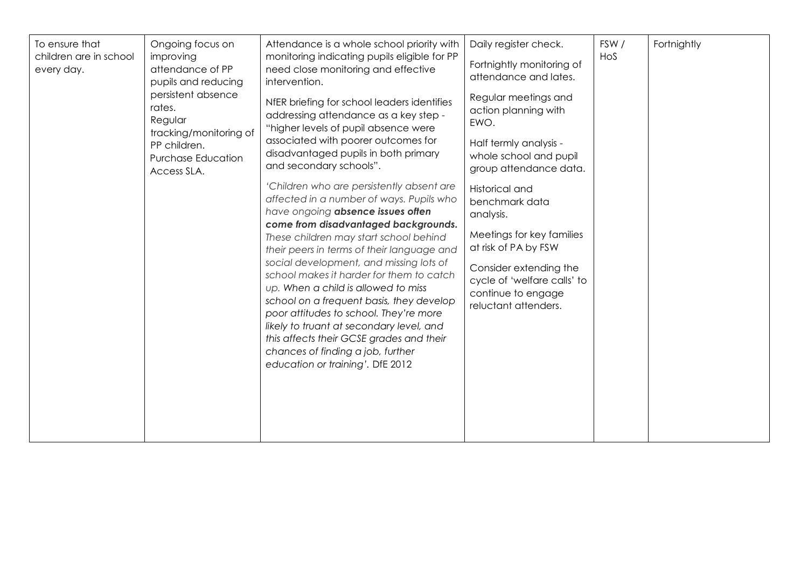| To ensure that<br>children are in school<br>every day. | Ongoing focus on<br>improving<br>attendance of PP<br>pupils and reducing<br>persistent absence<br>rates.<br>Regular<br>tracking/monitoring of<br>PP children.<br><b>Purchase Education</b><br>Access SLA. | Attendance is a whole school priority with<br>monitoring indicating pupils eligible for PP<br>need close monitoring and effective<br>intervention.<br>NfER briefing for school leaders identifies<br>addressing attendance as a key step -<br>"higher levels of pupil absence were<br>associated with poorer outcomes for<br>disadvantaged pupils in both primary<br>and secondary schools".<br>'Children who are persistently absent are<br>affected in a number of ways. Pupils who<br>have ongoing absence issues often<br>come from disadvantaged backgrounds.<br>These children may start school behind<br>their peers in terms of their language and<br>social development, and missing lots of<br>school makes it harder for them to catch | Daily register check.<br>Fortnightly monitoring of<br>attendance and lates.<br>Regular meetings and<br>action planning with<br>EWO.<br>Half termly analysis -<br>whole school and pupil<br>group attendance data.<br>Historical and<br>benchmark data<br>analysis.<br>Meetings for key families<br>at risk of PA by FSW<br>Consider extending the<br>cycle of 'welfare calls' to | FSW/<br>HoS | Fortnightly |
|--------------------------------------------------------|-----------------------------------------------------------------------------------------------------------------------------------------------------------------------------------------------------------|---------------------------------------------------------------------------------------------------------------------------------------------------------------------------------------------------------------------------------------------------------------------------------------------------------------------------------------------------------------------------------------------------------------------------------------------------------------------------------------------------------------------------------------------------------------------------------------------------------------------------------------------------------------------------------------------------------------------------------------------------|----------------------------------------------------------------------------------------------------------------------------------------------------------------------------------------------------------------------------------------------------------------------------------------------------------------------------------------------------------------------------------|-------------|-------------|
|                                                        |                                                                                                                                                                                                           | up. When a child is allowed to miss<br>school on a frequent basis, they develop<br>poor attitudes to school. They're more<br>likely to truant at secondary level, and<br>this affects their GCSE grades and their<br>chances of finding a job, further<br>education or training'. DfE 2012                                                                                                                                                                                                                                                                                                                                                                                                                                                        | continue to engage<br>reluctant attenders.                                                                                                                                                                                                                                                                                                                                       |             |             |